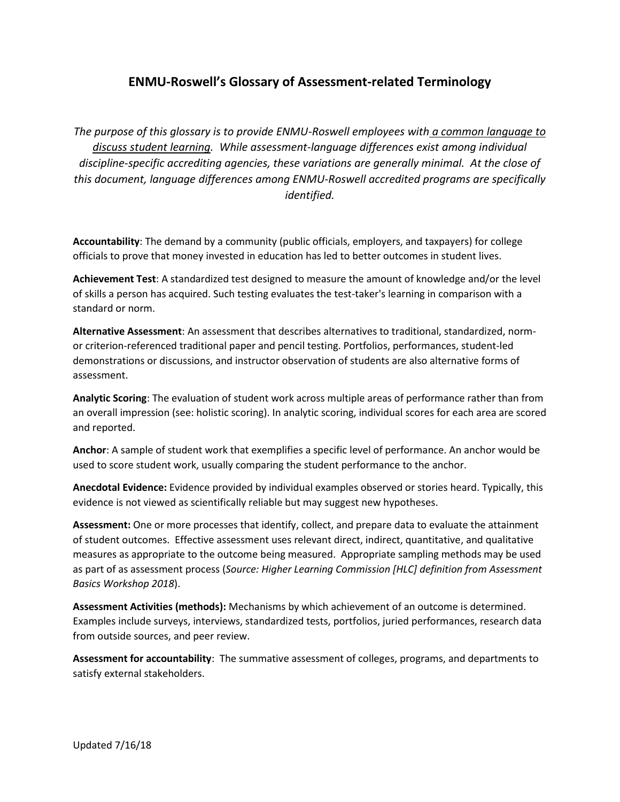## **ENMU-Roswell's Glossary of Assessment-related Terminology**

*The purpose of this glossary is to provide ENMU-Roswell employees with a common language to discuss student learning. While assessment-language differences exist among individual discipline-specific accrediting agencies, these variations are generally minimal. At the close of this document, language differences among ENMU-Roswell accredited programs are specifically identified.*

**Accountability**: The demand by a community (public officials, employers, and taxpayers) for college officials to prove that money invested in education has led to better outcomes in student lives.

**Achievement Test**: A standardized test designed to measure the amount of knowledge and/or the level of skills a person has acquired. Such testing evaluates the test-taker's learning in comparison with a standard or norm.

**Alternative Assessment**: An assessment that describes alternatives to traditional, standardized, normor criterion-referenced traditional paper and pencil testing. Portfolios, performances, student-led demonstrations or discussions, and instructor observation of students are also alternative forms of assessment.

**Analytic Scoring**: The evaluation of student work across multiple areas of performance rather than from an overall impression (see: holistic scoring). In analytic scoring, individual scores for each area are scored and reported.

**Anchor**: A sample of student work that exemplifies a specific level of performance. An anchor would be used to score student work, usually comparing the student performance to the anchor.

**Anecdotal Evidence:** Evidence provided by individual examples observed or stories heard. Typically, this evidence is not viewed as scientifically reliable but may suggest new hypotheses.

**Assessment:** One or more processes that identify, collect, and prepare data to evaluate the attainment of student outcomes. Effective assessment uses relevant direct, indirect, quantitative, and qualitative measures as appropriate to the outcome being measured. Appropriate sampling methods may be used as part of as assessment process (*Source: Higher Learning Commission [HLC] definition from Assessment Basics Workshop 2018*).

**Assessment Activities (methods):** Mechanisms by which achievement of an outcome is determined. Examples include surveys, interviews, standardized tests, portfolios, juried performances, research data from outside sources, and peer review.

**Assessment for accountability**: The summative assessment of colleges, programs, and departments to satisfy external stakeholders.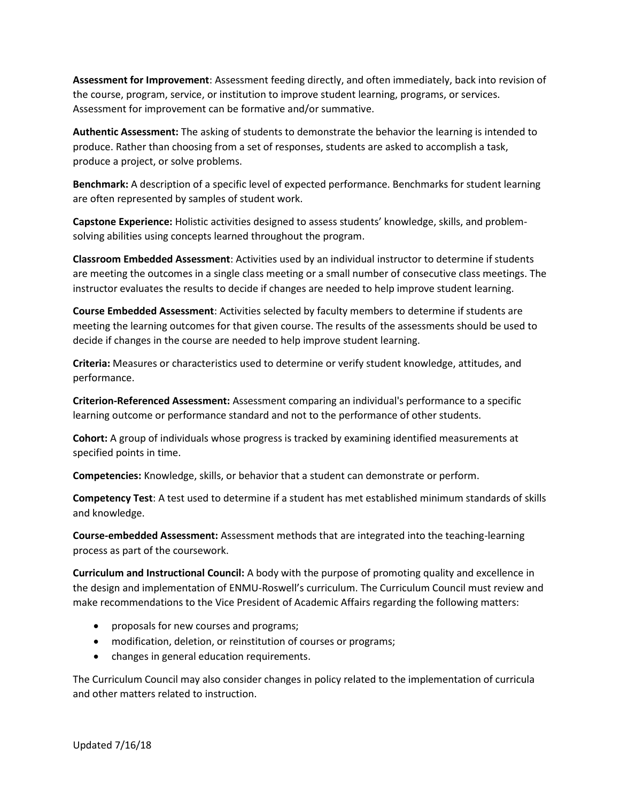**Assessment for Improvement**: Assessment feeding directly, and often immediately, back into revision of the course, program, service, or institution to improve student learning, programs, or services. Assessment for improvement can be formative and/or summative.

**Authentic Assessment:** The asking of students to demonstrate the behavior the learning is intended to produce. Rather than choosing from a set of responses, students are asked to accomplish a task, produce a project, or solve problems.

**Benchmark:** A description of a specific level of expected performance. Benchmarks for student learning are often represented by samples of student work.

**Capstone Experience:** Holistic activities designed to assess students' knowledge, skills, and problemsolving abilities using concepts learned throughout the program.

**Classroom Embedded Assessment**: Activities used by an individual instructor to determine if students are meeting the outcomes in a single class meeting or a small number of consecutive class meetings. The instructor evaluates the results to decide if changes are needed to help improve student learning.

**Course Embedded Assessment**: Activities selected by faculty members to determine if students are meeting the learning outcomes for that given course. The results of the assessments should be used to decide if changes in the course are needed to help improve student learning.

**Criteria:** Measures or characteristics used to determine or verify student knowledge, attitudes, and performance.

**Criterion-Referenced Assessment:** Assessment comparing an individual's performance to a specific learning outcome or performance standard and not to the performance of other students.

**Cohort:** A group of individuals whose progress is tracked by examining identified measurements at specified points in time.

**Competencies:** Knowledge, skills, or behavior that a student can demonstrate or perform.

**Competency Test**: A test used to determine if a student has met established minimum standards of skills and knowledge.

**Course-embedded Assessment:** Assessment methods that are integrated into the teaching-learning process as part of the coursework.

**Curriculum and Instructional Council:** A body with the purpose of promoting quality and excellence in the design and implementation of ENMU-Roswell's curriculum. The Curriculum Council must review and make recommendations to the Vice President of Academic Affairs regarding the following matters:

- proposals for new courses and programs;
- modification, deletion, or reinstitution of courses or programs;
- changes in general education requirements.

The Curriculum Council may also consider changes in policy related to the implementation of curricula and other matters related to instruction.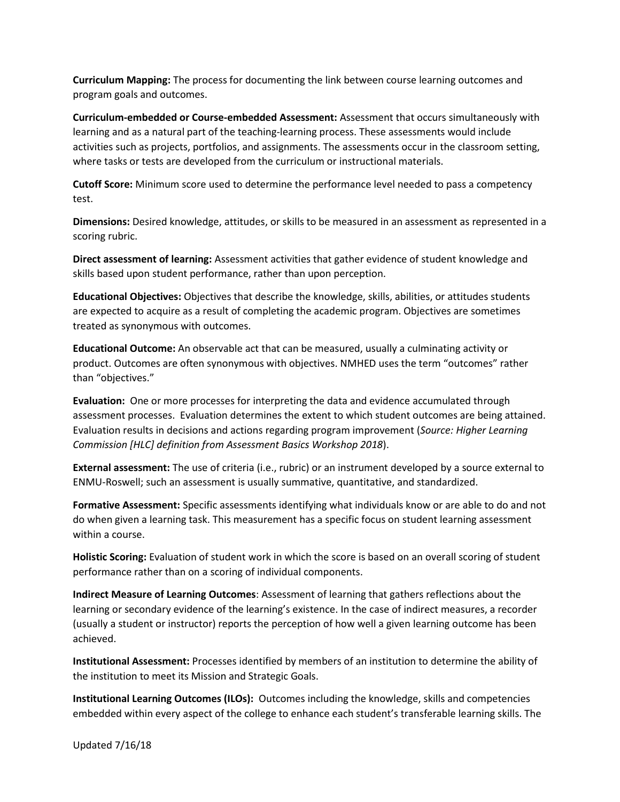**Curriculum Mapping:** The process for documenting the link between course learning outcomes and program goals and outcomes.

**Curriculum-embedded or Course-embedded Assessment:** Assessment that occurs simultaneously with learning and as a natural part of the teaching-learning process. These assessments would include activities such as projects, portfolios, and assignments. The assessments occur in the classroom setting, where tasks or tests are developed from the curriculum or instructional materials.

**Cutoff Score:** Minimum score used to determine the performance level needed to pass a competency test.

**Dimensions:** Desired knowledge, attitudes, or skills to be measured in an assessment as represented in a scoring rubric.

**Direct assessment of learning:** Assessment activities that gather evidence of student knowledge and skills based upon student performance, rather than upon perception.

**Educational Objectives:** Objectives that describe the knowledge, skills, abilities, or attitudes students are expected to acquire as a result of completing the academic program. Objectives are sometimes treated as synonymous with outcomes.

**Educational Outcome:** An observable act that can be measured, usually a culminating activity or product. Outcomes are often synonymous with objectives. NMHED uses the term "outcomes" rather than "objectives."

**Evaluation:** One or more processes for interpreting the data and evidence accumulated through assessment processes. Evaluation determines the extent to which student outcomes are being attained. Evaluation results in decisions and actions regarding program improvement (*Source: Higher Learning Commission [HLC] definition from Assessment Basics Workshop 2018*).

**External assessment:** The use of criteria (i.e., rubric) or an instrument developed by a source external to ENMU-Roswell; such an assessment is usually summative, quantitative, and standardized.

**Formative Assessment:** Specific assessments identifying what individuals know or are able to do and not do when given a learning task. This measurement has a specific focus on student learning assessment within a course.

**Holistic Scoring:** Evaluation of student work in which the score is based on an overall scoring of student performance rather than on a scoring of individual components.

**Indirect Measure of Learning Outcomes**: Assessment of learning that gathers reflections about the learning or secondary evidence of the learning's existence. In the case of indirect measures, a recorder (usually a student or instructor) reports the perception of how well a given learning outcome has been achieved.

**Institutional Assessment:** Processes identified by members of an institution to determine the ability of the institution to meet its Mission and Strategic Goals.

**Institutional Learning Outcomes (ILOs):** Outcomes including the knowledge, skills and competencies embedded within every aspect of the college to enhance each student's transferable learning skills. The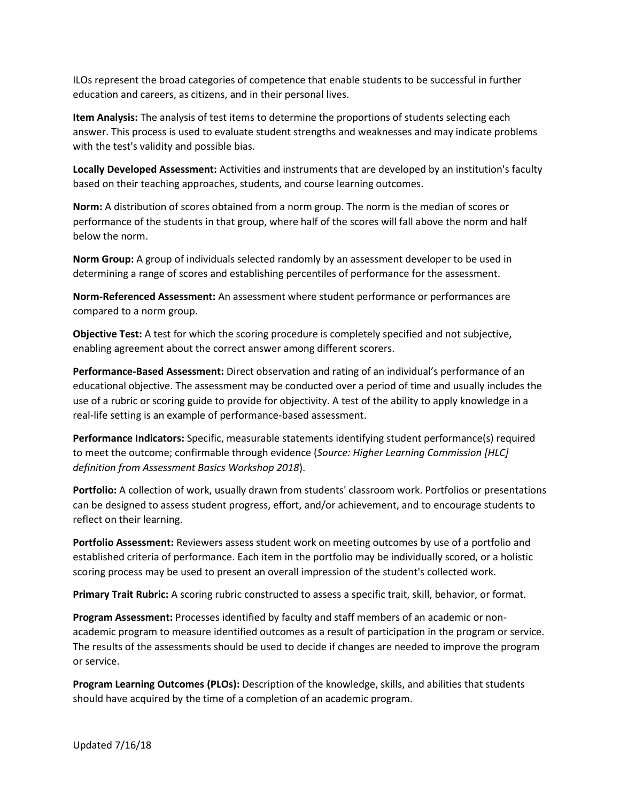ILOs represent the broad categories of competence that enable students to be successful in further education and careers, as citizens, and in their personal lives.

**Item Analysis:** The analysis of test items to determine the proportions of students selecting each answer. This process is used to evaluate student strengths and weaknesses and may indicate problems with the test's validity and possible bias.

**Locally Developed Assessment:** Activities and instruments that are developed by an institution's faculty based on their teaching approaches, students, and course learning outcomes.

**Norm:** A distribution of scores obtained from a norm group. The norm is the median of scores or performance of the students in that group, where half of the scores will fall above the norm and half below the norm.

**Norm Group:** A group of individuals selected randomly by an assessment developer to be used in determining a range of scores and establishing percentiles of performance for the assessment.

**Norm-Referenced Assessment:** An assessment where student performance or performances are compared to a norm group.

**Objective Test:** A test for which the scoring procedure is completely specified and not subjective, enabling agreement about the correct answer among different scorers.

**Performance-Based Assessment:** Direct observation and rating of an individual's performance of an educational objective. The assessment may be conducted over a period of time and usually includes the use of a rubric or scoring guide to provide for objectivity. A test of the ability to apply knowledge in a real-life setting is an example of performance-based assessment.

**Performance Indicators:** Specific, measurable statements identifying student performance(s) required to meet the outcome; confirmable through evidence (*Source: Higher Learning Commission [HLC] definition from Assessment Basics Workshop 2018*).

**Portfolio:** A collection of work, usually drawn from students' classroom work. Portfolios or presentations can be designed to assess student progress, effort, and/or achievement, and to encourage students to reflect on their learning.

**Portfolio Assessment:** Reviewers assess student work on meeting outcomes by use of a portfolio and established criteria of performance. Each item in the portfolio may be individually scored, or a holistic scoring process may be used to present an overall impression of the student's collected work.

**Primary Trait Rubric:** A scoring rubric constructed to assess a specific trait, skill, behavior, or format.

**Program Assessment:** Processes identified by faculty and staff members of an academic or nonacademic program to measure identified outcomes as a result of participation in the program or service. The results of the assessments should be used to decide if changes are needed to improve the program or service.

**Program Learning Outcomes (PLOs):** Description of the knowledge, skills, and abilities that students should have acquired by the time of a completion of an academic program.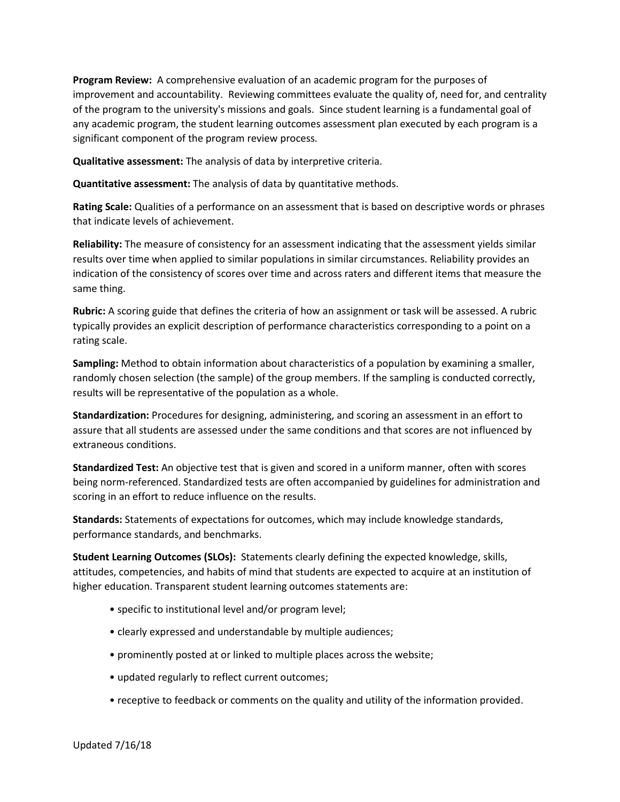**Program Review:** A comprehensive evaluation of an academic program for the purposes of improvement and accountability. Reviewing committees evaluate the quality of, need for, and centrality of the program to the university's missions and goals. Since student learning is a fundamental goal of any academic program, the student learning outcomes assessment plan executed by each program is a significant component of the program review process.

**Qualitative assessment:** The analysis of data by interpretive criteria.

**Quantitative assessment:** The analysis of data by quantitative methods.

**Rating Scale:** Qualities of a performance on an assessment that is based on descriptive words or phrases that indicate levels of achievement.

**Reliability:** The measure of consistency for an assessment indicating that the assessment yields similar results over time when applied to similar populations in similar circumstances. Reliability provides an indication of the consistency of scores over time and across raters and different items that measure the same thing.

**Rubric:** A scoring guide that defines the criteria of how an assignment or task will be assessed. A rubric typically provides an explicit description of performance characteristics corresponding to a point on a rating scale.

**Sampling:** Method to obtain information about characteristics of a population by examining a smaller, randomly chosen selection (the sample) of the group members. If the sampling is conducted correctly, results will be representative of the population as a whole.

**Standardization:** Procedures for designing, administering, and scoring an assessment in an effort to assure that all students are assessed under the same conditions and that scores are not influenced by extraneous conditions.

**Standardized Test:** An objective test that is given and scored in a uniform manner, often with scores being norm-referenced. Standardized tests are often accompanied by guidelines for administration and scoring in an effort to reduce influence on the results.

**Standards:** Statements of expectations for outcomes, which may include knowledge standards, performance standards, and benchmarks.

**Student Learning Outcomes (SLOs):** Statements clearly defining the expected knowledge, skills, attitudes, competencies, and habits of mind that students are expected to acquire at an institution of higher education. Transparent student learning outcomes statements are:

- specific to institutional level and/or program level;
- clearly expressed and understandable by multiple audiences;
- prominently posted at or linked to multiple places across the website;
- updated regularly to reflect current outcomes;
- receptive to feedback or comments on the quality and utility of the information provided.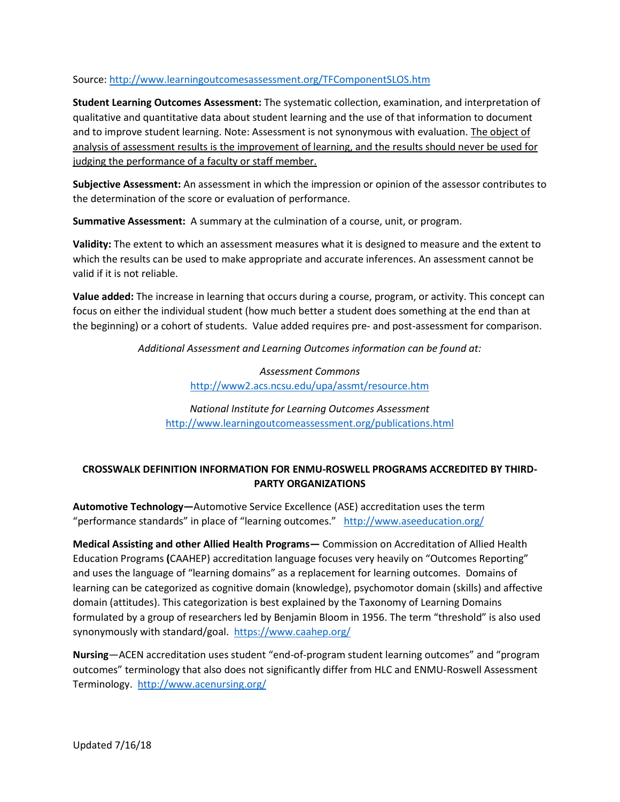## Source:<http://www.learningoutcomesassessment.org/TFComponentSLOS.htm>

**Student Learning Outcomes Assessment:** The systematic collection, examination, and interpretation of qualitative and quantitative data about student learning and the use of that information to document and to improve student learning. Note: Assessment is not synonymous with evaluation. The object of analysis of assessment results is the improvement of learning, and the results should never be used for judging the performance of a faculty or staff member.

**Subjective Assessment:** An assessment in which the impression or opinion of the assessor contributes to the determination of the score or evaluation of performance.

**Summative Assessment:** A summary at the culmination of a course, unit, or program.

**Validity:** The extent to which an assessment measures what it is designed to measure and the extent to which the results can be used to make appropriate and accurate inferences. An assessment cannot be valid if it is not reliable.

**Value added:** The increase in learning that occurs during a course, program, or activity. This concept can focus on either the individual student (how much better a student does something at the end than at the beginning) or a cohort of students. Value added requires pre- and post-assessment for comparison.

*Additional Assessment and Learning Outcomes information can be found at:*

## *Assessment Commons* <http://www2.acs.ncsu.edu/upa/assmt/resource.htm>

*National Institute for Learning Outcomes Assessment*  <http://www.learningoutcomeassessment.org/publications.html>

## **CROSSWALK DEFINITION INFORMATION FOR ENMU-ROSWELL PROGRAMS ACCREDITED BY THIRD-PARTY ORGANIZATIONS**

**Automotive Technology—**Automotive Service Excellence (ASE) accreditation uses the term "performance standards" in place of "learning outcomes." <http://www.aseeducation.org/>

**Medical Assisting and other Allied Health Programs—** Commission on Accreditation of Allied Health Education Programs **(**CAAHEP) accreditation language focuses very heavily on "Outcomes Reporting" and uses the language of "learning domains" as a replacement for learning outcomes. Domains of learning can be categorized as cognitive domain (knowledge), psychomotor domain (skills) and affective domain (attitudes). This categorization is best explained by the Taxonomy of Learning Domains formulated by a group of researchers led by Benjamin Bloom in 1956. The term "threshold" is also used synonymously with standard/goal. <https://www.caahep.org/>

**Nursing**—ACEN accreditation uses student "end-of-program student learning outcomes" and "program outcomes" terminology that also does not significantly differ from HLC and ENMU-Roswell Assessment Terminology. <http://www.acenursing.org/>